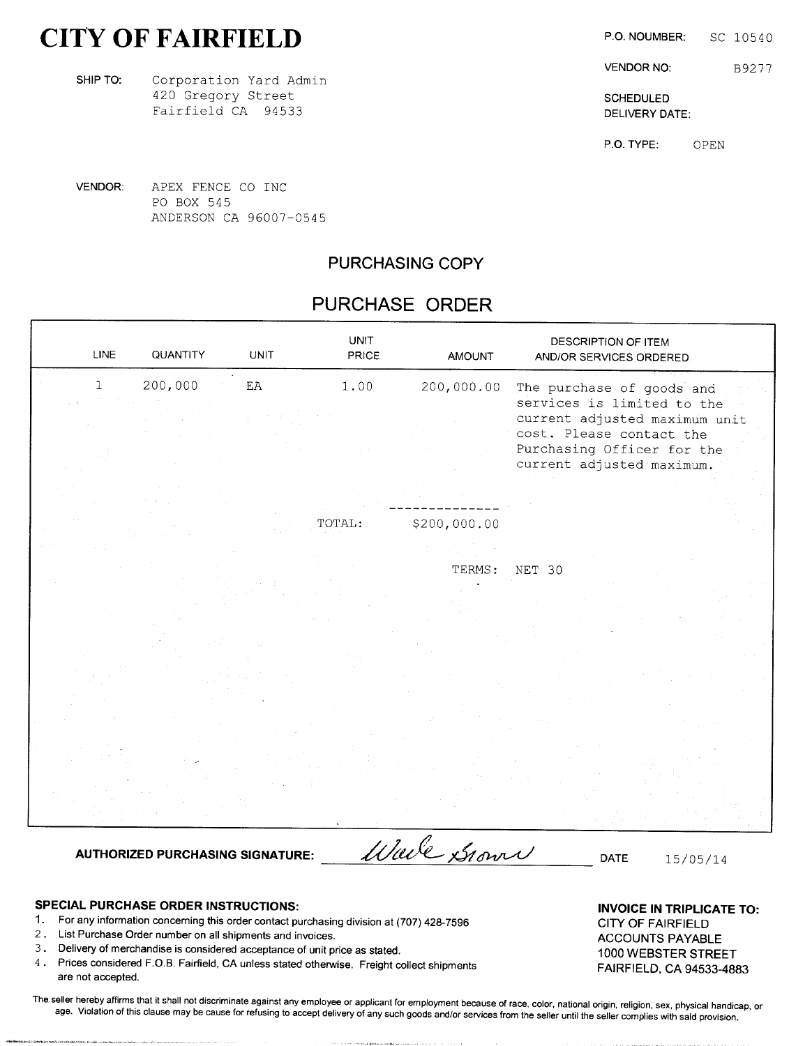# CITY OF FAIRFIELD P.O. NOUMBER: SC 10540

SHIPTO: Corporation Yard Admin 420 Gregory Street Schepule Schepule Schepule Schepule Schepule Schepule Schepule Schepule Schepule Schepule Schepule Schepule Schepule Schepule Schepule Schepule Schepule Schepule Schepule Schepule Schepule Schepule Schep Fairfield CA 94533 DELIVERY DATE:

VENDOR NO: B9277

P.O. TYPE: OPEN

VENDOR: APEX FENCE CO INC PO BOX 545 ANDERSON CA 96007-0545

## PURCHASING COPY

## PURCHASE ORDER

| <b>LINE</b>  | QUANTITY                                | <b>UNIT</b> | <b>UNIT</b><br>PRICE | <b>AMOUNT</b> | DESCRIPTION OF ITEM<br>AND/OR SERVICES ORDERED                                                                       |
|--------------|-----------------------------------------|-------------|----------------------|---------------|----------------------------------------------------------------------------------------------------------------------|
| $\mathbf{1}$ | 200,000                                 | EA          | 1.00                 | 200,000.00    | The purchase of goods and<br>services is limited to the<br>current adjusted maximum unit<br>cost. Please contact the |
|              |                                         |             |                      |               | Purchasing Officer for the<br>current adjusted maximum.                                                              |
|              |                                         |             | TOTAL:               | \$200,000.00  |                                                                                                                      |
|              |                                         |             |                      | TERMS:        | NET 30                                                                                                               |
|              |                                         |             |                      |               |                                                                                                                      |
|              |                                         |             |                      |               |                                                                                                                      |
|              | <b>AUTHORIZED PURCHASING SIGNATURE:</b> |             |                      | Wale Grown    | DATE<br>15/05/14                                                                                                     |

- SPECIAL PURCHASE ORDER INSTRUCTIONS:<br>1. For any information concerning this order contact purchasing division at (707) 428-7596 CITY OF FAIRFIELD 1. For any information concerning this order contact purchasing division at (707) 428-7596
- 2. List Purchase Order number on all shipments and invoices.<br>
ACCOUNTS PAYABLE
- 3. Delivery of merchandise is considered acceptance of unit price as stated. 1000 WEBSTER STREET
- 4. Prices considered F.O.B. Fairfield, CA unless stated otherwise. Freight collect shipments FAIRFIELD, CA 94533-4883 are not accepted.

The seller hereby affirms that it shall not discriminate against any employee or applicant for employment because of race, color, national origin, religion, sex, physical handicap, or age. Violation of this clause may be cause for refusing to accept delivery of any such goods and/or services from the seller until the seller complies with said provision.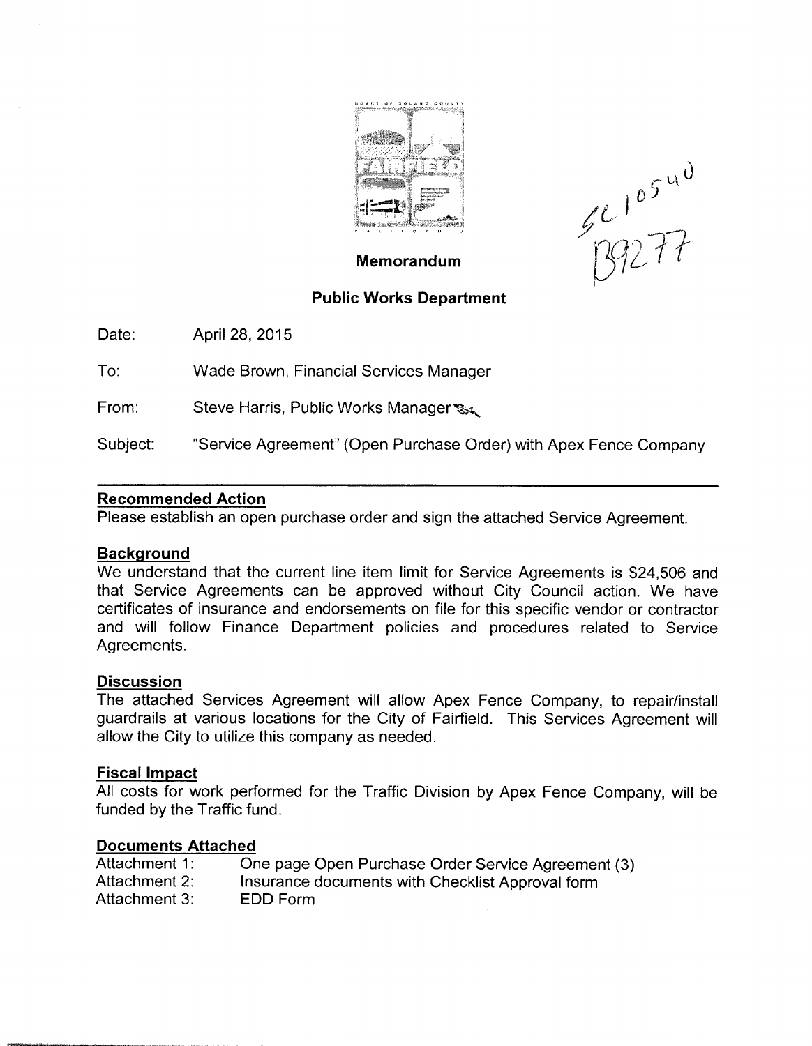

 $5$   $\degree$ r

## Memorandum

## Public Works Department

Date: Aprii 28, 2015

To: Wade Brown, Financial Services Manager

From: Steve Harris, Public Works Manager  $\mathcal{L}$ 

Subject: "Service Agreement" (Open Purchase Order) with Apex Fence Company

## Recommended Action

Please establish an open purchase order and sign the attached Service Agreement.

## **Background**

We understand that the current line item limit for Service Agreements is \$24,506 and that Service Agreements can be approved without City Council action. We have certificates of insurance and endorsements on file for this specific vendor or contractor and will follow Finance Department policies and procedures related to Service Agreements.

## **Discussion**

The attached Services Agreement will allow Apex Fence Company, to repair/install guardrails at various locations for the City of Fairfield. This Services Agreement will allow the City to utilize this company as needed.

## Fiscal Impact

All costs for work performed for the Traffic Division by Apex Fence Company, will be funded by the Traffic fund.

## Documents Attached

| <b>BUCULIICIRS AUGUICU</b> |                                                    |
|----------------------------|----------------------------------------------------|
| Attachment 1:              | One page Open Purchase Order Service Agreement (3) |
| Attachment 2:              | Insurance documents with Checklist Approval form   |
| Attachment 3:              | EDD Form                                           |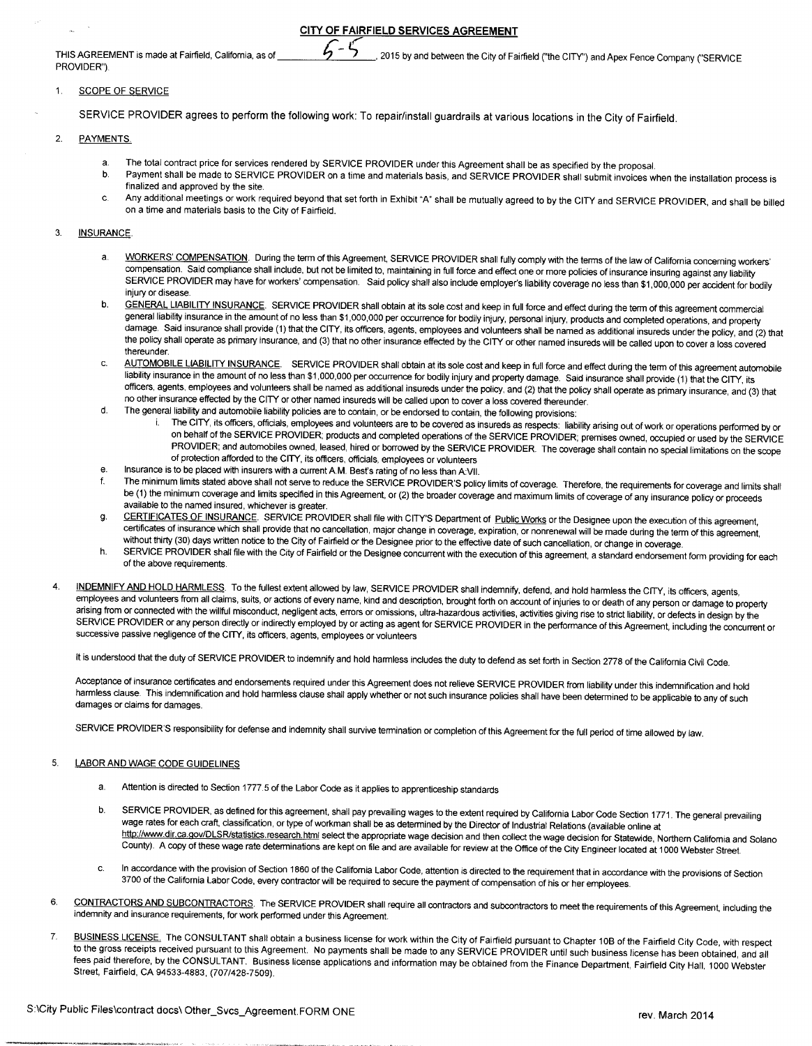CITY OF FAIRFIELD SERVICES AGREEMENT

PROVIDER").

## THIS AGREEMENT is made at Fairfield, California, as of  $\sim$  7 2015 by and between the City of Fairfield ("the CITY") and Apex Fence Company ("SERVICE

## 1. SCOPE OF SERVICE

SERVICE PROVIDER agrees to perform the following work: To repair/install guardrails at various locations in the City of Fairfield.

## 2. PAYMENTS.

- a. The total contract price for services rendered by SERVICE PROVIDER under this Agreement shall be as specified by the proposal.<br>b. Payment shall be made to SERVICE PROVIDER on a time and materials basis, and SERVICE PROV
- Payment shall be made to SERVICE PROVIDER on a time and materials basis, and SERVICE PROVIDER shall submit invoices when the installation process is finalized and approved by the site.
- c. Any additional meetings or work required beyond that set forth in Exhibit "A" shall be mutually agreed to by the CITY and SERVICE PROVIDER, and shall be billed on <sup>a</sup> time and materials basis to the City of Fairfield.

## 3. **INSURANCE**

- a. WORKERS' COMPENSATION. During the term of this Agreement, SERVICE PROVIDER shall fully comply with the terms of the law of California concerning workers' <u>WORKERS COMPENSATION</u>. Dunng the term of this Agreement, SERVICE PROVIDER shall fully comply with the terms of the law of California concerning workers<br>compensation. Said compliance shall include, but not be limited to, m SERVICE PROVIDER may have for workers' compensation. Said policy shall also include employer's liability coverage no less than \$1,000,000 per accident for bodily<br>injury or disease.
- injury or disease.<br>GENERAL LIABILITY INSURANCE. SERVICE PROVIDER shall obtain at its sole cost and keep in full force and effect during the term of this agreement commercial<br>general liability insurance in the amount of no general liability insurance in the amount of no less than \$1,000,000 per occurrence for bodily injury, personal injury, products and completed operations, and property<br>damage. Said insurance shall provide (1) that the CITY the policy shall operate as primary insurance, and (3) that no other insurance effected by the CITY or other named insureds will be called upon to cover a loss covered thereunder
- thereunder.<br>LA<u>UTOMOBILE LIABILITY INSURANCE</u>. SERVICE PROVIDER shall obtain at its sole cost and keep in full force and effect during the term of this agreement automobile<br>liability insurance in the amount of no less than liability insurance in the amount of no less than \$1,000,000 per occurrence for bodily injury and property damage. Said insurance shall provide (1) that the CITY, its<br>officers, agents, employees and volunteers shall be nam no other insurance effected by the CITY or other named insureds will be called upon to cover <sup>a</sup> loss covered thereunder.
- d. The general liability and automobile liability policies are to contain, or be endorsed to contain, the following provisions:
	- i. The CITY, its officers, officials, employees and volunteers are to be covered as insureds as respects: liability arising out of work or operations performed by or on behalf of the SERVICE PROVIDER; products and completed operations of the SERVICE PROVIDER; premises owned, occupied or used by the SERVICE PROVIDER; and automobiles owned, leased, hired or borrowed by the SERViCE PROVIDER. The coverage shall contain no special limitations on the scope of protection afforded to the CITY, its officers, officials, employees or volunteers
- e. Insurance is to be placed with insurers with <sup>a</sup> current A.M. BesYs rating of no less than A:VII.
- The minimum limits stated above shall not serve to reduce the SERVICE PROVIDER'S policy limits of coverage. Therefore, the requirements for coverage and limits shall be (1) the minimum coverage and limits specified in this Agreement, or (2) the broader coverage and maximum limits of coverage of any insurance policy or proceeds available to the named insured, whichever is greater.
- g. CERTIFICATES OF INSURANCE. SERVICE PROVIDER shall file with CITY'S Department of Public Works or the Designee upon the execution of this agreement, certificates of insurance which shall provide that no cancellation, major change in coverage, expiration, or nonrenewal will be made during the term of this agreement, without thirty (30) days written notice to the City of Fairfield or the Designee prior to the effective date of such cancellation, or change in coverage.
- h. SERVICE PROVIDER shall file with the City of Fairfield or the Designee concurrent with the execution of this agreement, a standard endorsement form providing for each of the above requirements.
- INDEMNIFY AND HOLD HARMLESS. To the fullest extent allowed by law, SERVICE PROVIDER shall indemnify, defend, and hold harmless the CITY, its officers, agents, employees and volunteers from all claims, suits, or actions of every name, kind and description, brought forth on account of injuries to or death of any person or damage to property arising from or connected with the willful misconduct, negligent acts, errors or omissions, ultra-hazardous activities, activities giving rise to strict liabiliry, or defects in design by the SERVICE PROVIDER or any person directly or indirectly employed by or acting as agent for SERVICE PROVIDER in the performance of this Agreement, including the concurrent or successive passive negligence of the CITY, its officers, agents, employees or volunteers

It is understood that the duty of SERVICE PROVIDER to indemnify and hold harmless includes the duty to defend as set forth in Section 2778 of the California Civil Code.

Acceptance of insurance certificates and endorsements required under this Agreement does not relieve SERVICE PROVIDER from liability under this indemnification and hold harmless clause. This indemnification and hold harmless clause shall apply whether or not such insurance policies shall have been determined to be applicable to any of such damages or claims for damages.

SERVICE PROVIDER'S responsibility for defense and indemnity shall survive termination or completion of this Agreement for the full period of time allowed by law.

## 5. LABOR AND WAGE CODE GUIDELINES

- a. Attention is directed to Section 1777.5 of the Labor Code as it applies to apprenticeship standards
- b. SERVICE PROVIDER, as defined for this agreement, shall pay prevailing wages to the extent required by California Labor Code Section 1771. The general prevailing wage rates for each craft, classification, or type of workman shall be as determined by the Director of Industrial Relations (available online at<br>http://www.dir.ca.gov/DLSR/statistics.research.html select the appropriate w HROVIDER or any person directly or indirectly enables be on activated and the Sackwites Jewissian serves in the estimate of the SML and the statement, including the concurrent or<br>passive regligence of the CITY, its offices County). <sup>A</sup> copy of these wage rate determinations are kept on file and are available for review at the Office of the City Engineer located at <sup>1000</sup> Webster Street.
- c. In accordance with the provision of Section <sup>1860</sup> of the Califomia Labor Code, attention is directed to the requirement that in accordance with the provisions of Section <sup>3700</sup> of the California Labor Code, every contractor will be required to secure the payment of compensation of his or her employees.
- 6. CONTRACTORS AND SUBCONTRACTORS. The SERVICE PROVIDER shall require all contractors and subcontractors to meet the requirements of this Agreement, including the indemnity and insurance requirements, for work performed under this Agreement.
- 7. BUSINESS LICENSE. The CONSULTANT shall obtain a business license for work within the City of Fairfield pursuant to Chapter 10B of the Fairfield City Code, with respect to the gross receipts received pursuant to this Agr fees paid therefore, by the CONSULTANT. Business license applications and information may be obtained from the Finance Department, Fairtield City Hail, 1000 Webster Street, Fairfield, CA 94533-4883, (707/428-7509).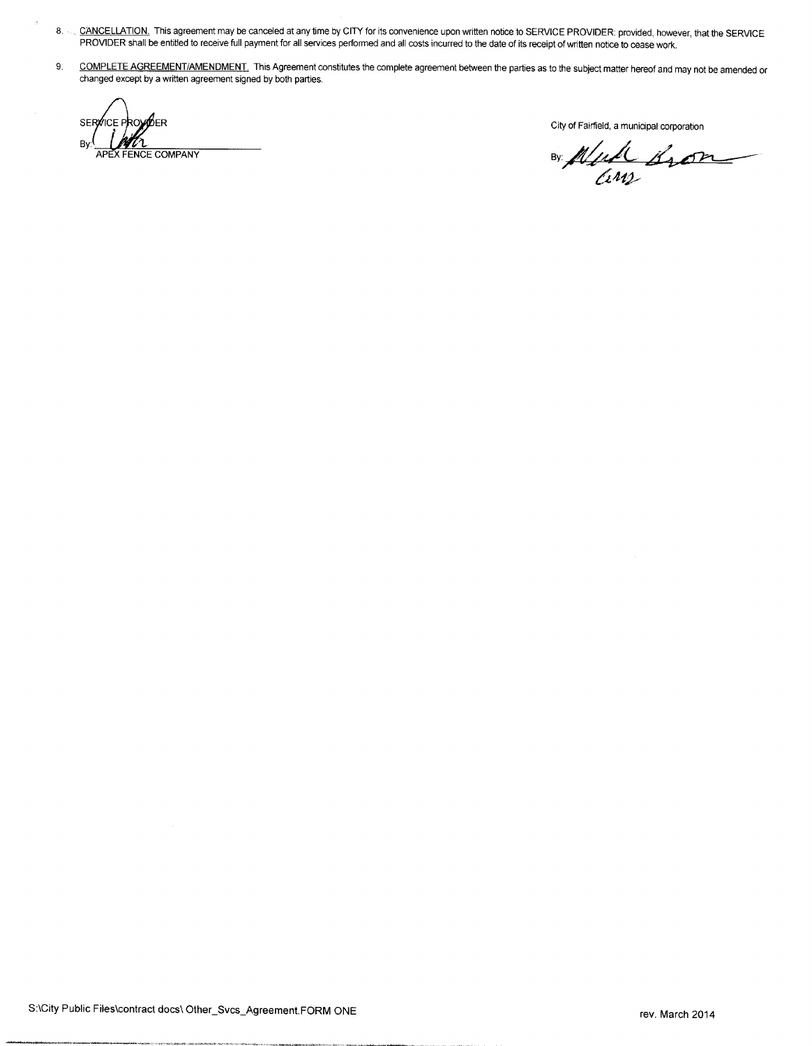- 8. CANCELLATION. This agreement may be canceled at any time by CITY for its convenience upon written notice to SERVICE PROVIDER: provided, however, that the SERVICE PROVIDER shall be entitled to receive full payment for all services performed and all costs incurred to the date of its receipt of written notice to cease work.
- 9. COMPLETE AGREEMENT/AMENDMENT. This Agreement constitutes the complete agreement between the parties as to the subject matter hereof and may not be amended or changed except by <sup>a</sup> written agreement signed by both parties.

SERVICE PROVIDER<br>By: The City of Fairfield, a municipal corporation<br>Manufacture Communication By: APEX FENCE COMPANY

Cinz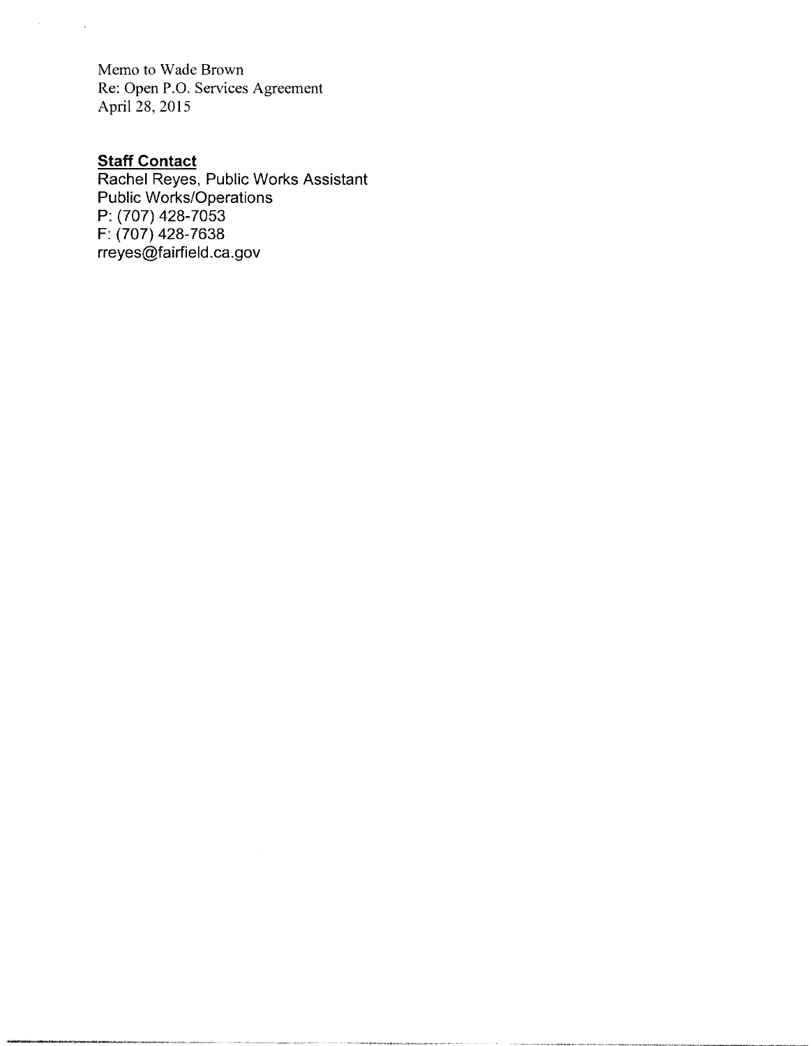Memo to Wade Brown Re: Open P.O. Services Agreement April 28, 2015

## **Staff Contac**

 $\sim$ 

 $\rightarrow$ 

Rachel Reyes, Public Works Assistant Public Works/Operations P: (707) 428-7053 F: (707) 428-7638 rreyes@fairfield.ca.gov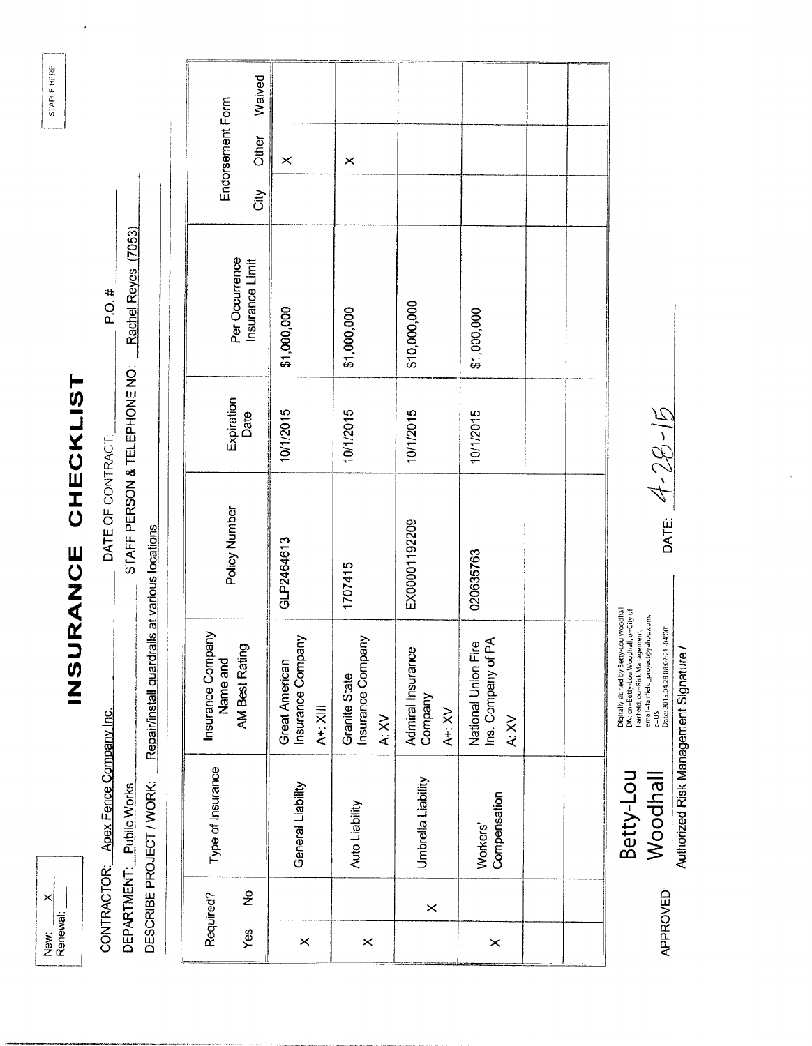New: X

# INSURANCE CHECKLIST

CONTRACTOR: Apex Fence Company Inc. DEPARTMENT: Public Works

DATE OF CONTRACT:

 $P.O.$ #

STAFF PERSON & TELEPHONE NO: Rachel Reyes (7053)

DESCRIBE PROJECT / WORK: Repair/install quardrails at various locations

|          | Required? | Type of Insurance        | Insurance Company                                                                                                |               |                    |                                   |      |                           |        |
|----------|-----------|--------------------------|------------------------------------------------------------------------------------------------------------------|---------------|--------------------|-----------------------------------|------|---------------------------|--------|
| Yes      | ş         |                          | AM Best Rating<br>Name and                                                                                       | Policy Number | Expiration<br>Date | Per Occurrence<br>Insurance Limit | čity | Endorsement Form<br>Other | Waived |
| $\times$ |           | General Liability        | Insurance Company<br>Great American<br>$A + X$                                                                   | GLP2464613    | 10/1/2015          | \$1,000,000                       |      | $\times$                  |        |
| $\times$ |           | Auto Liability           | Insurance Company<br>Granite State<br>A: XV                                                                      | 1707415       | 10/1/2015          | \$1,000,000                       |      | $\times$                  |        |
|          | $\times$  | Umbrella Liability       | Admiral Insurance<br>Company<br>$A + X$                                                                          | EX00001192209 | 10/1/2015          | \$10,000,000                      |      |                           |        |
| $\times$ |           | Compensation<br>Workers' | Ins. Company of PA<br>National Union Fire<br>A: XV                                                               | 020635763     | 10/1/2015          | \$1,000,000                       |      |                           |        |
|          |           |                          |                                                                                                                  |               |                    |                                   |      |                           |        |
|          |           |                          |                                                                                                                  |               |                    |                                   |      |                           |        |
|          |           | Betty-Lou                | Digitally signed by Betty-Lou Woodhall<br>DN: cn=Betty-Lou Woodhall, o=City of<br>Fairfield, ou=Risk Management. |               |                    |                                   |      |                           |        |

DN: cn=Betty-Lou Woodhall, o=City of<br>Fairfield, ou=Risk Management.<br>E=US<br>Date: 2013.04.28 08:07:21 -04:00 Authorized Risk Management Signature / **Woodhall** 

**APPROVED:** 

DATE:  $4-28-15$ 

STAPLE HERP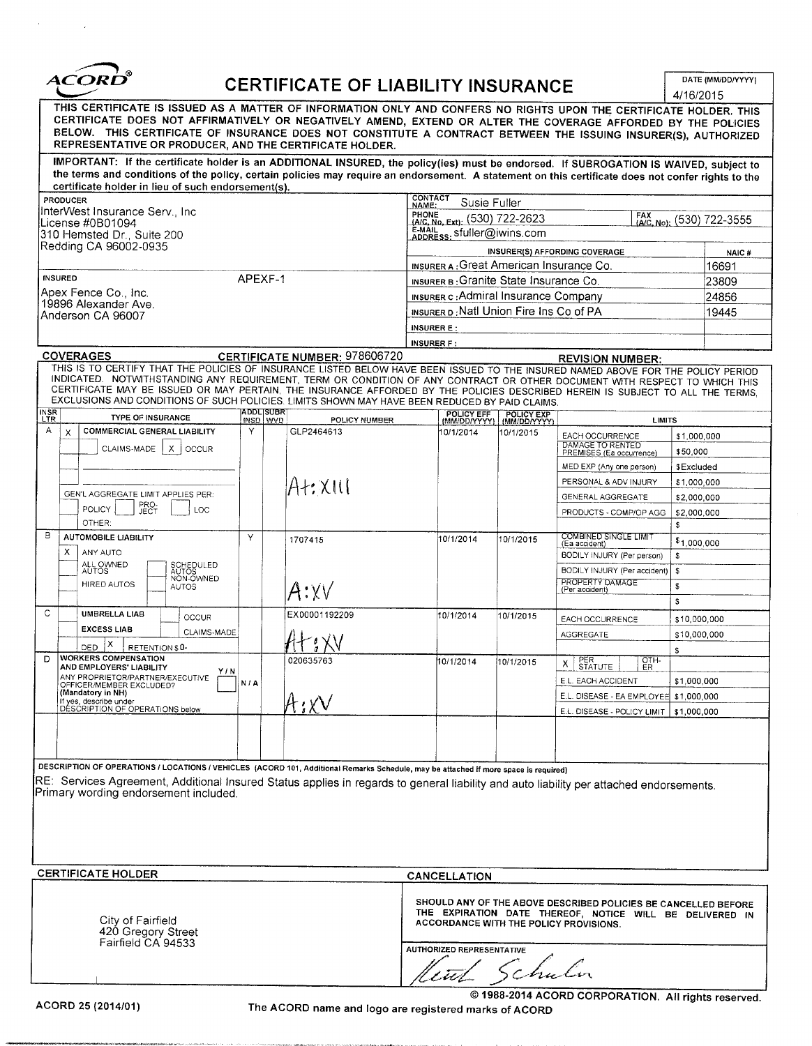

# CERTIFICATE OF LIABILITY INSURANCE

DATE (MM/DD/YYYY)  $\frac{1}{4}$ 

|                                                  | THIS CERTIFICATE IS ISSUED AS A MATTER OF INFORMATION ONLY AND CONFERS NO RIGHTS UPON THE CERTIFICATE HOLDER. THIS<br>CERTIFICATE DOES NOT AFFIRMATIVELY OR NEGATIVELY AMEND, EXTEND OR ALTER THE COVERAGE AFFORDED BY THE POLICIES<br>BELOW. THIS CERTIFICATE OF INSURANCE DOES NOT CONSTITUTE A CONTRACT BETWEEN THE ISSUING INSURER(S), AUTHORIZED<br>REPRESENTATIVE OR PRODUCER, AND THE CERTIFICATE HOLDER.                                                                                   |                      |                                      |                                                                                                                                                                                                          |                            |                                                                 | 4/10/2015                                            |                    |  |  |
|--------------------------------------------------|----------------------------------------------------------------------------------------------------------------------------------------------------------------------------------------------------------------------------------------------------------------------------------------------------------------------------------------------------------------------------------------------------------------------------------------------------------------------------------------------------|----------------------|--------------------------------------|----------------------------------------------------------------------------------------------------------------------------------------------------------------------------------------------------------|----------------------------|-----------------------------------------------------------------|------------------------------------------------------|--------------------|--|--|
|                                                  | IMPORTANT: If the certificate holder is an ADDITIONAL INSURED, the policy(ies) must be endorsed. If SUBROGATION IS WAIVED, subject to<br>the terms and conditions of the policy, certain policies may require an endorsement. A statement on this certificate does not confer rights to the<br>certificate holder in lieu of such endorsement(s).                                                                                                                                                  |                      |                                      |                                                                                                                                                                                                          |                            |                                                                 |                                                      |                    |  |  |
|                                                  | PRODUCER<br>InterWest Insurance Serv., Inc<br>License #0B01094<br>310 Hemsted Dr., Suite 200                                                                                                                                                                                                                                                                                                                                                                                                       |                      |                                      | <b>CONTACT</b><br>Susie Fuller<br>NAME:<br>PHONE<br>FRUNE (A/C, No, Ext): (530) 722-2623<br>E-MAIL<br>ADDRESS: Sfuller@iwins.com                                                                         |                            |                                                                 |                                                      | FAX (530) 722-3555 |  |  |
|                                                  | Redding CA 96002-0935                                                                                                                                                                                                                                                                                                                                                                                                                                                                              |                      |                                      |                                                                                                                                                                                                          |                            | INSURER(S) AFFORDING COVERAGE                                   |                                                      | NAIC#              |  |  |
|                                                  |                                                                                                                                                                                                                                                                                                                                                                                                                                                                                                    |                      |                                      | INSURER A: Great American Insurance Co.                                                                                                                                                                  |                            |                                                                 |                                                      | 16691              |  |  |
|                                                  | <b>INSURED</b><br>Apex Fence Co., Inc.                                                                                                                                                                                                                                                                                                                                                                                                                                                             | APEXF-1              |                                      | INSURER B: Granite State Insurance Co.                                                                                                                                                                   |                            |                                                                 |                                                      | 23809              |  |  |
|                                                  | 19896 Alexander Ave.                                                                                                                                                                                                                                                                                                                                                                                                                                                                               |                      |                                      | <b>INSURER c: Admiral Insurance Company</b>                                                                                                                                                              |                            |                                                                 |                                                      | 24856              |  |  |
|                                                  | Anderson CA 96007                                                                                                                                                                                                                                                                                                                                                                                                                                                                                  |                      |                                      | INSURER D: Natl Union Fire Ins Co of PA                                                                                                                                                                  |                            |                                                                 |                                                      | 19445              |  |  |
|                                                  |                                                                                                                                                                                                                                                                                                                                                                                                                                                                                                    |                      |                                      | <b>INSURER E:</b><br><b>INSURER F:</b>                                                                                                                                                                   |                            |                                                                 |                                                      |                    |  |  |
|                                                  | <b>COVERAGES</b>                                                                                                                                                                                                                                                                                                                                                                                                                                                                                   |                      | <b>CERTIFICATE NUMBER: 978606720</b> |                                                                                                                                                                                                          |                            | <b>REVISION NUMBER:</b>                                         |                                                      |                    |  |  |
|                                                  | THIS IS TO CERTIFY THAT THE POLICIES OF INSURANCE LISTED BELOW HAVE BEEN ISSUED TO THE INSURED NAMED ABOVE FOR THE POLICY PERIOD<br>INDICATED. NOTWITHSTANDING ANY REQUIREMENT, TERM OR CONDITION OF ANY CONTRACT OR OTHER DOCUMENT WITH RESPECT TO WHICH THIS<br>CERTIFICATE MAY BE ISSUED OR MAY PERTAIN, THE INSURANCE AFFORDED BY THE POLICIES DESCRIBED HEREIN IS SUBJECT TO ALL THE TERMS,<br>EXCLUSIONS AND CONDITIONS OF SUCH POLICIES. LIMITS SHOWN MAY HAVE BEEN REDUCED BY PAID CLAIMS. |                      |                                      |                                                                                                                                                                                                          |                            |                                                                 |                                                      |                    |  |  |
| <b>INSR</b><br>LTR                               | <b>TYPE OF INSURANCE</b>                                                                                                                                                                                                                                                                                                                                                                                                                                                                           | ADDL SUBR<br>MSD WVD | <b>POLICY NUMBER</b>                 | POLICY EFF<br>(MM/DD/YYYY)                                                                                                                                                                               | POLICY EXP<br>(MM/DD/YYYY) | <b>LIMITS</b>                                                   |                                                      |                    |  |  |
| Α                                                | <b>COMMERCIAL GENERAL LIABILITY</b><br>X<br>CLAIMS-MADE<br>X.<br>OCCUR                                                                                                                                                                                                                                                                                                                                                                                                                             | Y                    | GLP2464613                           | 10/1/2014                                                                                                                                                                                                | 10/1/2015                  | EACH OCCURRENCE<br>DAMAGE TO RENTED<br>PREMISES (Ea occurrence) | \$1,000,000<br>\$50,000                              |                    |  |  |
|                                                  |                                                                                                                                                                                                                                                                                                                                                                                                                                                                                                    |                      |                                      |                                                                                                                                                                                                          |                            | MED EXP (Any one person)                                        | \$Excluded                                           |                    |  |  |
|                                                  | GEN'L AGGREGATE LIMIT APPLIES PER:                                                                                                                                                                                                                                                                                                                                                                                                                                                                 |                      | At:XIII                              |                                                                                                                                                                                                          |                            | PERSONAL & ADV INJURY                                           | \$1,000,000                                          |                    |  |  |
|                                                  | PRO-<br><b>POLICY</b><br>LOC<br>JEC <sup>-</sup>                                                                                                                                                                                                                                                                                                                                                                                                                                                   |                      |                                      |                                                                                                                                                                                                          |                            | GENERAL AGGREGATE                                               | \$2,000,000<br>PRODUCTS - COMP/OP AGG<br>\$2,000,000 |                    |  |  |
|                                                  | OTHER:                                                                                                                                                                                                                                                                                                                                                                                                                                                                                             |                      |                                      |                                                                                                                                                                                                          |                            |                                                                 | \$                                                   |                    |  |  |
| в                                                | <b>AUTOMOBILE LIABILITY</b>                                                                                                                                                                                                                                                                                                                                                                                                                                                                        | Y                    | 1707415                              | 10/1/2014                                                                                                                                                                                                | 10/1/2015                  | <b>COMBINED SINGLE LIMIT</b><br>(Ea accident)                   | \$1,000,000                                          |                    |  |  |
|                                                  | х<br>ANY AUTO                                                                                                                                                                                                                                                                                                                                                                                                                                                                                      |                      |                                      |                                                                                                                                                                                                          |                            | BODILY INJURY (Per person)                                      | \$                                                   |                    |  |  |
|                                                  | ALL OWNED<br>AUTOS<br>SCHEDULED<br>AUTOS                                                                                                                                                                                                                                                                                                                                                                                                                                                           |                      |                                      |                                                                                                                                                                                                          |                            | BODILY INJURY (Per accident)                                    | \$                                                   |                    |  |  |
|                                                  | NON-OWNED<br>HIRED AUTOS<br><b>AUTOS</b>                                                                                                                                                                                                                                                                                                                                                                                                                                                           |                      | A:xv                                 |                                                                                                                                                                                                          |                            | PROPERTY DAMAGE<br>(Per accident)                               | \$                                                   |                    |  |  |
|                                                  |                                                                                                                                                                                                                                                                                                                                                                                                                                                                                                    |                      |                                      |                                                                                                                                                                                                          |                            |                                                                 | \$                                                   |                    |  |  |
| C                                                | UMBRELLA LIAB<br><b>OCCUR</b>                                                                                                                                                                                                                                                                                                                                                                                                                                                                      |                      | EX00001192209                        | 10/1/2014                                                                                                                                                                                                | 10/1/2015                  | EACH OCCURRENCE                                                 | \$10,000,000                                         |                    |  |  |
|                                                  | <b>EXCESS LIAB</b><br>CLAIMS-MADE                                                                                                                                                                                                                                                                                                                                                                                                                                                                  |                      | I XV                                 |                                                                                                                                                                                                          |                            | <b>AGGREGATE</b>                                                | \$10,000,000                                         |                    |  |  |
| D                                                | X<br>DED.<br>RETENTION \$0-<br><b>WORKERS COMPENSATION</b>                                                                                                                                                                                                                                                                                                                                                                                                                                         |                      |                                      |                                                                                                                                                                                                          |                            |                                                                 | \$                                                   |                    |  |  |
|                                                  | AND EMPLOYERS' LIABILITY<br>Y/N                                                                                                                                                                                                                                                                                                                                                                                                                                                                    |                      | 020635763                            | 10/1/2014                                                                                                                                                                                                | 10/1/2015                  | PER<br>STATUTE<br>OTH-<br>ER<br>х                               |                                                      |                    |  |  |
|                                                  | ANY PROPRIETOR/PARTNER/EXECUTIVE<br>OFFICER/MEMBER EXCLUDED?                                                                                                                                                                                                                                                                                                                                                                                                                                       | N/A                  |                                      |                                                                                                                                                                                                          |                            | E.L. EACH ACCIDENT                                              | \$1,000,000                                          |                    |  |  |
|                                                  | (Mandatory in NH)<br>If yes, describe under<br>DESCRIPTION OF OPERATIONS below                                                                                                                                                                                                                                                                                                                                                                                                                     |                      | $\mathcal{H}$ ; XV                   |                                                                                                                                                                                                          |                            | E.L. DISEASE - EA EMPLOYEE \$1,000,000                          |                                                      |                    |  |  |
|                                                  |                                                                                                                                                                                                                                                                                                                                                                                                                                                                                                    |                      |                                      |                                                                                                                                                                                                          |                            | E.L. DISEASE - POLICY LIMIT   \$1,000,000                       |                                                      |                    |  |  |
|                                                  | DESCRIPTION OF OPERATIONS / LOCATIONS / VEHICLES (ACORD 101, Additional Remarks Schedule, may be attached if more space is required)<br>RE: Services Agreement, Additional Insured Status applies in regards to general liability and auto liability per attached endorsements.<br>Primary wording endorsement included.                                                                                                                                                                           |                      |                                      |                                                                                                                                                                                                          |                            |                                                                 |                                                      |                    |  |  |
|                                                  |                                                                                                                                                                                                                                                                                                                                                                                                                                                                                                    |                      |                                      |                                                                                                                                                                                                          |                            |                                                                 |                                                      |                    |  |  |
| <b>CERTIFICATE HOLDER</b><br><b>CANCELLATION</b> |                                                                                                                                                                                                                                                                                                                                                                                                                                                                                                    |                      |                                      |                                                                                                                                                                                                          |                            |                                                                 |                                                      |                    |  |  |
|                                                  | City of Fairfield<br>420 Gregory Street<br>Fairfield CA 94533                                                                                                                                                                                                                                                                                                                                                                                                                                      |                      |                                      | SHOULD ANY OF THE ABOVE DESCRIBED POLICIES BE CANCELLED BEFORE<br>THE EXPIRATION DATE THEREOF, NOTICE WILL BE DELIVERED IN<br>ACCORDANCE WITH THE POLICY PROVISIONS.<br><b>AUTHORIZED REPRESENTATIVE</b> |                            |                                                                 |                                                      |                    |  |  |
|                                                  |                                                                                                                                                                                                                                                                                                                                                                                                                                                                                                    |                      |                                      | Util Schu                                                                                                                                                                                                |                            |                                                                 |                                                      |                    |  |  |
|                                                  |                                                                                                                                                                                                                                                                                                                                                                                                                                                                                                    |                      |                                      | © 1988-2014 ACORD CORPORATION. All rights reserved.                                                                                                                                                      |                            |                                                                 |                                                      |                    |  |  |

The ACORD name and logo are registered marks of ACORD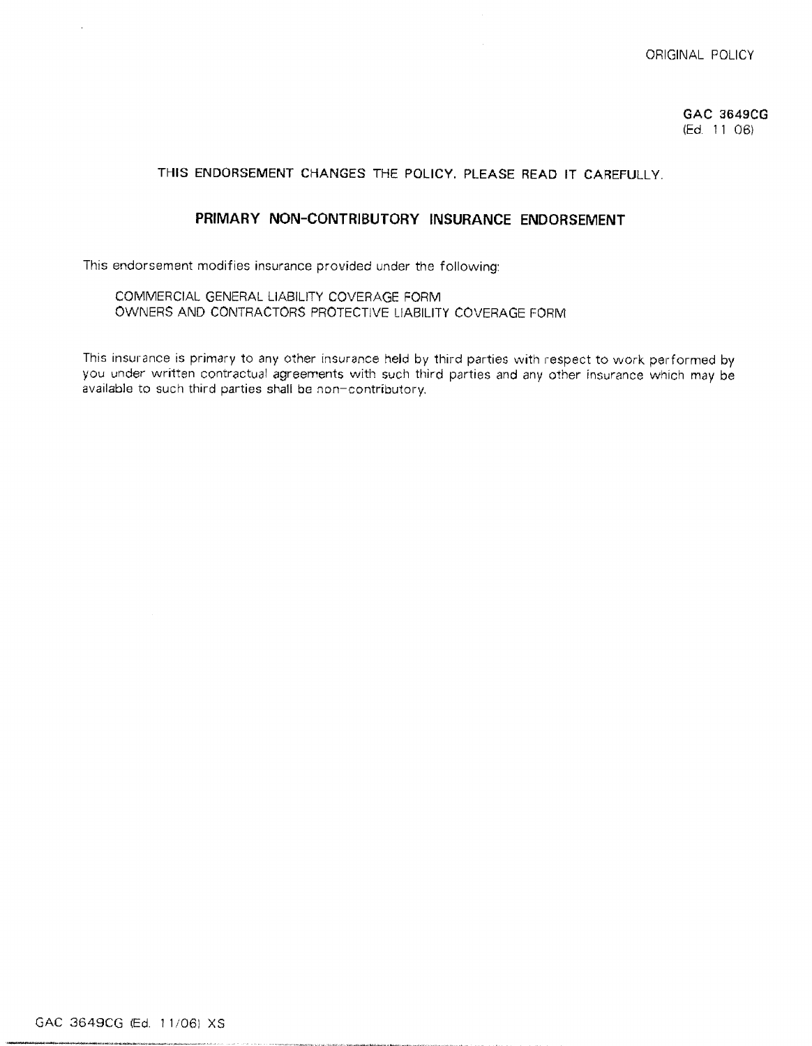## GAC 3649CG (Ed. 11 06)

## THIS ENDORSEMENT CHANGES THE POLICY. PLEASE READ IT CAREFULLY.

## PRIMARY NON-CONTRIBUTORY INSURANCE ENDORSEMENT

This endorsement modifies insurance provided under the following:

COMMERCIAL GENERAL LIABILITY COVERAGE FORM OWNERS AND CONTRACTORS PROTECTIVE LIABILITY COVERAGE FORM

This insurance is primary to any other insurance held by third parties with respect to work performed by you under written contractual agreements with such third parties and any other insurance which may be available to such third parties shall be non-contributory.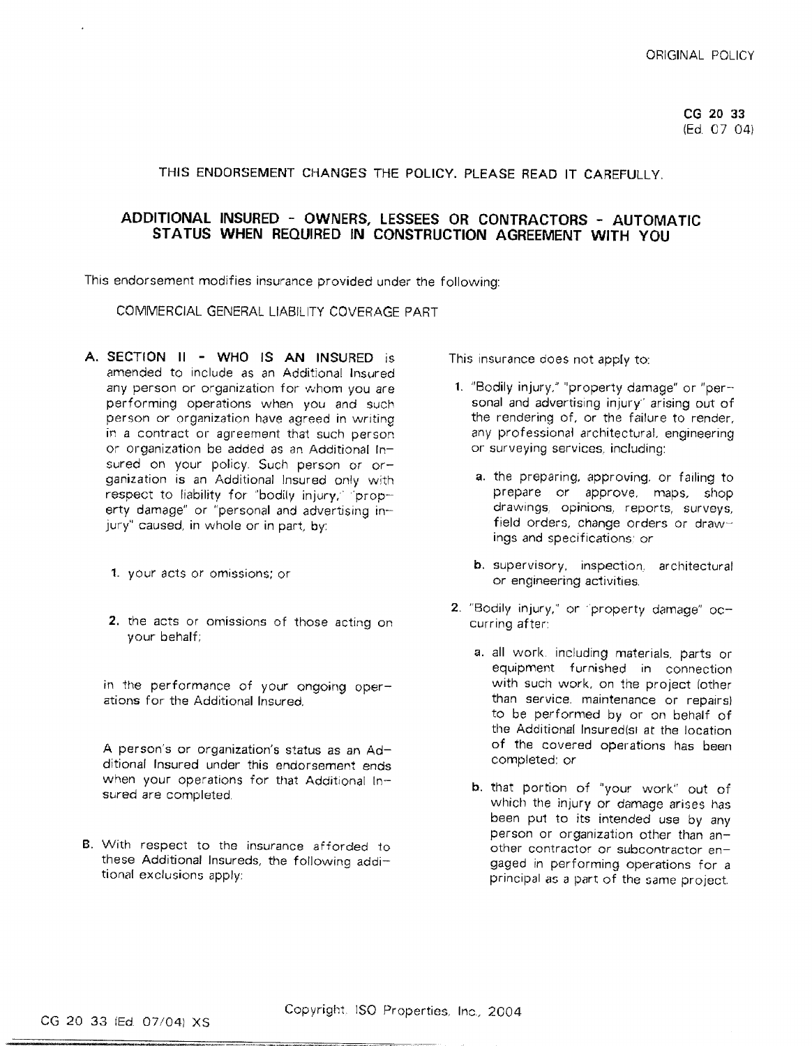CG 20 33 (Ed. 07 04)

## THIS ENDORSEMENT CHANGES THE POLICY. PLEASE READ IT CAREFULLY.

## ADDITIONAL INSURED - OWNERS, LESSEES OR CONTRACTORS - AUTOMATIC STATUS WHEN REQUIRED IN CONSTRUCTION AGREEMENT WITH YOU

This endorsement modifies insurance provided under the following:

COMMERCIAL GENERAL LIABILITY COVERAGE PART

- A. SECTION II WHO IS AN INSURED is amended to include as an Additional Insured any person or organization for whom you are performing operations when you and such person or organization have agreed in writing in a contract or agreement that such person or organization be added as an Additional Insured on your policy. Such person or organization is an Additional Insured only with respect to liability for "bodily injury," "property damage" or "personal and advertising injury" caused, in whole or in part, by:
	- 1. your acts or omissions; or
	- 2. the acts or omissions of those acting on your behalf;

in the performance of your ongoing operations for the Additional Insured.

A person's or organization's status as an Additional Insured under this endorsement ends when your operations for that Additional Insured are completed.

B. With respect to the insurance afforded to these Additional Insureds, the following additional exclusions apply:

This insurance does not apply to:

- 1. "Bodily injury," "property damage" or "personal and advertising injury' arising out of the rendering of, or the failure to render, any professional architectural, engineering or surveying services, including:
	- a. the preparing, approving, or failing to prepare or approve, maps, shop drawings, opinions, reports, surveys, field orders, change orders or drawings and specifications; or
	- **b.** supervisory, inspection, architectural or engineering activities.
- 2. "Bodily injury," or "property damage" occurring after:
	- a. all work, including materials, parts or equipment furnished in connection with such work, on the project (other than service, maintenance or repairs) to be performed by or on behalf of the Additional Insured(s) at the location of the covered operations has been completed: or
	- b. that portion of "your work" out of which the injury or damage arises has been put to its intended use by any person or organization other than another contractor or subcontractor engaged in performing operations for a principal as a part of the same project.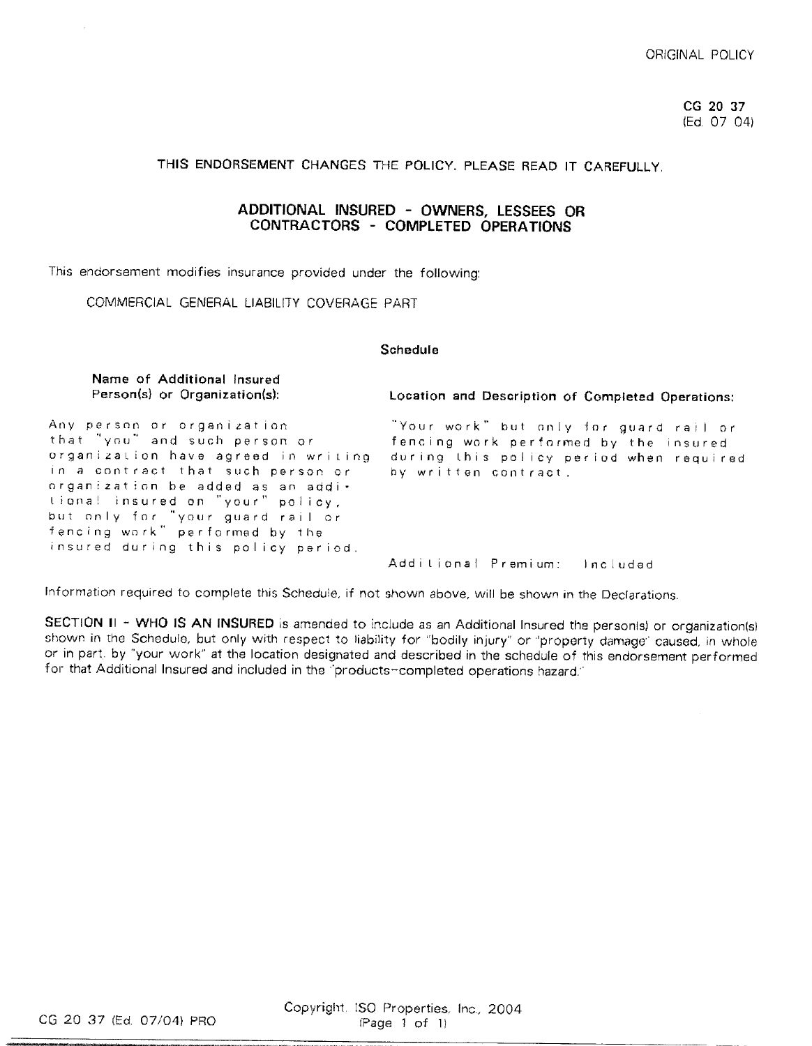CG 20 37 (Ed. 07 04)

## THIS ENDORSEMENT CHANGES THE POLICY. PLEASE READ IT CAREFULLY.

## ADDITIONAL INSURED - OWNERS, LESSEES OR CONTRACTORS - COMPLETED OPERATIONS

This endorsement modifies insurance provided under the following:

COMMERCIAL GENERAL LIABILITY COVERAGE PART

## Schedule

Name of Additional Insured Person(s) or Organization(s): Location and Description of Completed Operations: Any person or organization. "Your work" but only for guard rail or that "you" and such person or fencing work performed by the insured organization have agreed in writing during this policy period when required in a contract that such person or by written contract. organization be added as an additional insured on "your" policy, but only for "your guard rail or<br>fencing work" performed by the insured during this policy period. Additional Premium: Included

Information required to complete this Schedule, if not shown above, will be shown in the Declarations.

SECTION II - WHO IS AN INSURED is amended to include as an Additional Insured the personis) or organization(s) shown in the Schedule, but only with respect to liability for "bodily injury" or "property damage" caused, in whole or in part, by "your work" at the location designated and described in the schedule of this endorsement performed for that Additional Insured and included in the "products-completed operations hazard."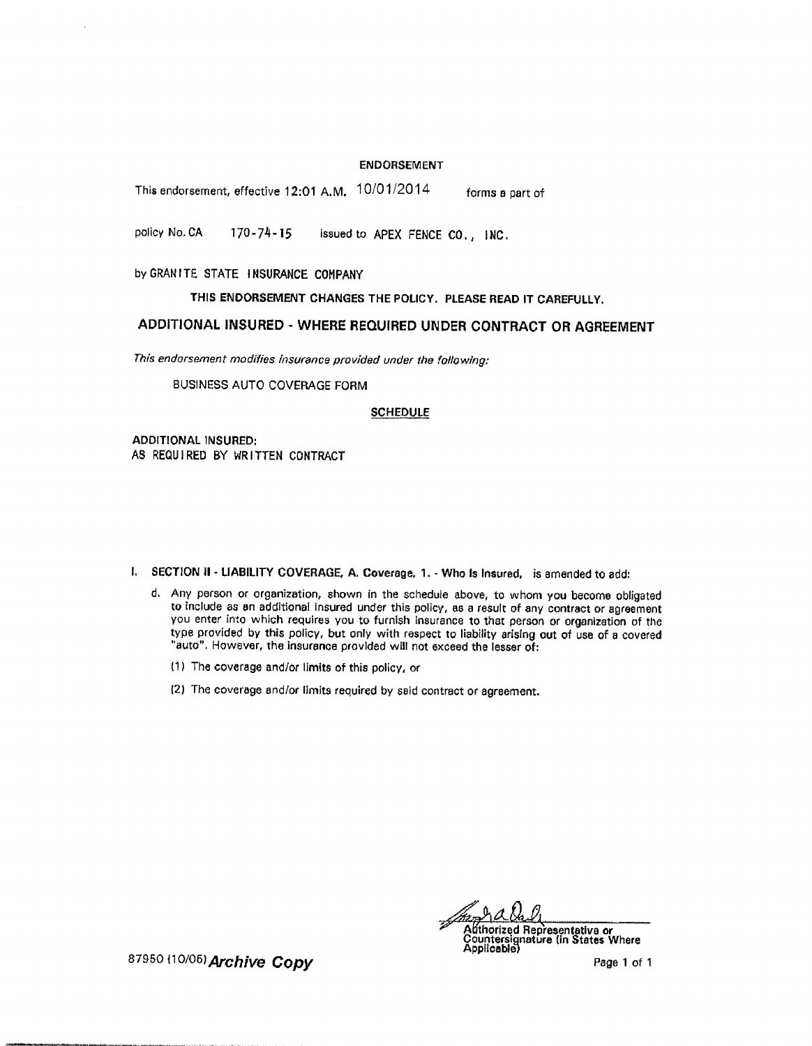## **ENDORSEMENT**

This endorsement, effective 12:01 A.M. 10/01/2014 forms a part of

policy No. CA  $170 - 74 - 15$ issued to APEX FENCE CO., INC.

by GRANITE STATE INSURANCE COMPANY

THIS ENDORSEMENT CHANGES THE POLICY. PLEASE READ IT CAREFULLY.

## ADDITIONAL INSURED - WHERE REQUIRED UNDER CONTRACT OR AGREEMENT

This endorsement modifies insurance provided under the following:

**BUSINESS AUTO COVERAGE FORM** 

## **SCHEDULE**

**ADDITIONAL INSURED:** AS REQUIRED BY WRITTEN CONTRACT

I. SECTION II - LIABILITY COVERAGE, A. Coverage, 1. - Who is insured, is amended to add:

- d. Any person or organization, shown in the schedule above, to whom you become obligated to include as an additional insured under this policy, as a result of any contract or agreement you enter into which requires you to furnish insurance to that person or organization of the type provided by this policy, but only with respect to liability arising out of use of a covered "auto". However, the insurance provided will not exceed the lesser of:
	- (1) The coverage and/or limits of this policy, or
	- (2) The coverage and/or limits required by said contract or agreement.

Adthorized Representative or<br>Countersignature (in States Where<br>Applicable)

87950 (10/05) Archive Copy

Page 1 of 1